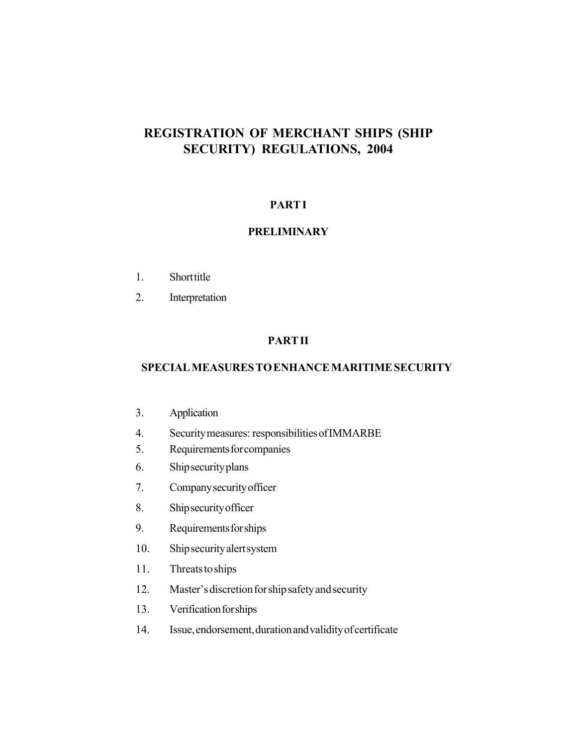# **REGISTRATION OF MERCHANT SHIPS (SHIP SECURITY) REGULATIONS, 2004**

# **PART I**

# **PRELIMINARY**

- 1. Short title
- 2. Interpretation

# **PART II**

### **SPECIAL MEASURES TO ENHANCE MARITIME SECURITY**

- 3. Application
- 4. Security measures: responsibilities of IMMARBE
- 5. Requirements for companies
- 6. Ship security plans
- 7. Company security officer
- 8. Ship security officer
- 9. Requirements for ships
- 10. Ship security alert system
- 11. Threats to ships
- 12. Master's discretion for ship safety and security
- 13. Verification for ships
- 14. Issue, endorsement, duration and validity of certificate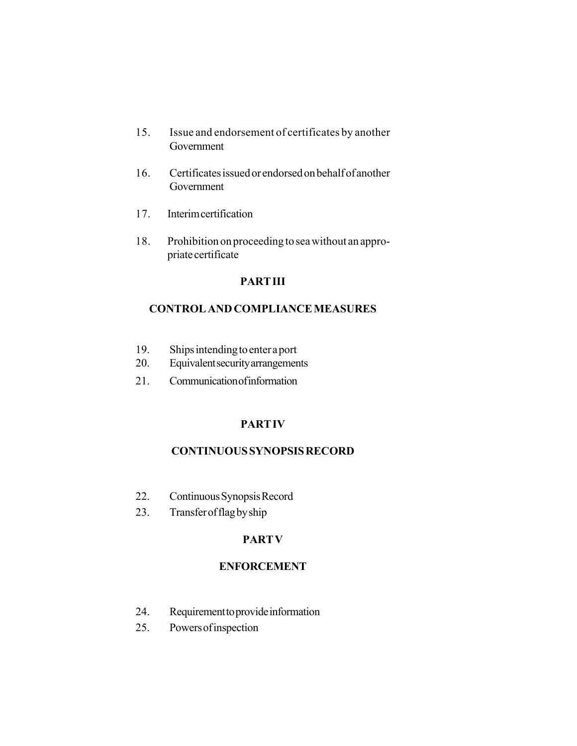- 15. Issue and endorsement of certificates by another Government
- 16. Certificates issued or endorsed on behalf of another Government
- 17. Interim certification
- 18. Prohibition on proceeding to sea without an appropriate certificate

# **PART III**

# **CONTROL AND COMPLIANCE MEASURES**

- 19. Ships intending to enter a port
- 20. Equivalent security arrangements
- 21. Communication of information

# **PART IV**

# **CONTINUOUS SYNOPSIS RECORD**

- 22. Continuous Synopsis Record
- 23. Transfer of flag by ship

# **PART V**

# **ENFORCEMENT**

- 24. Requirement to provide information
- 25. Powers of inspection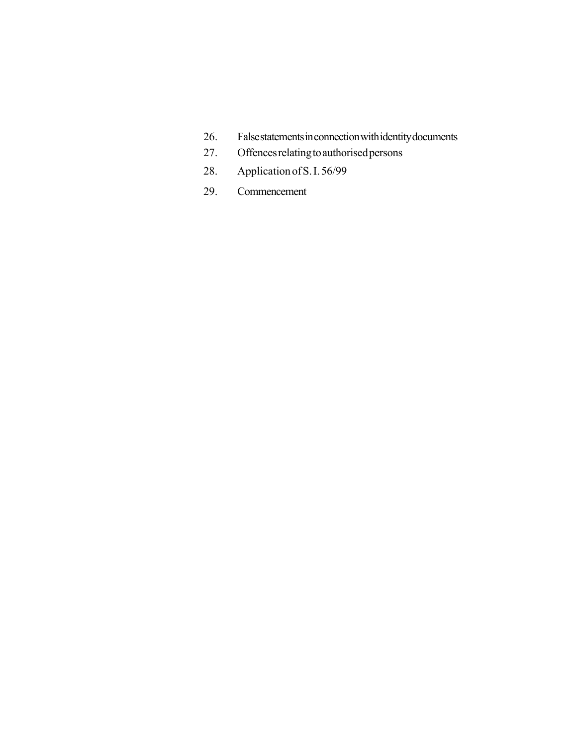- 26. False statements in connection with identity documents
- 27. Offences relating to authorised persons
- 28. Application of S. I. 56/99
- 29. Commencement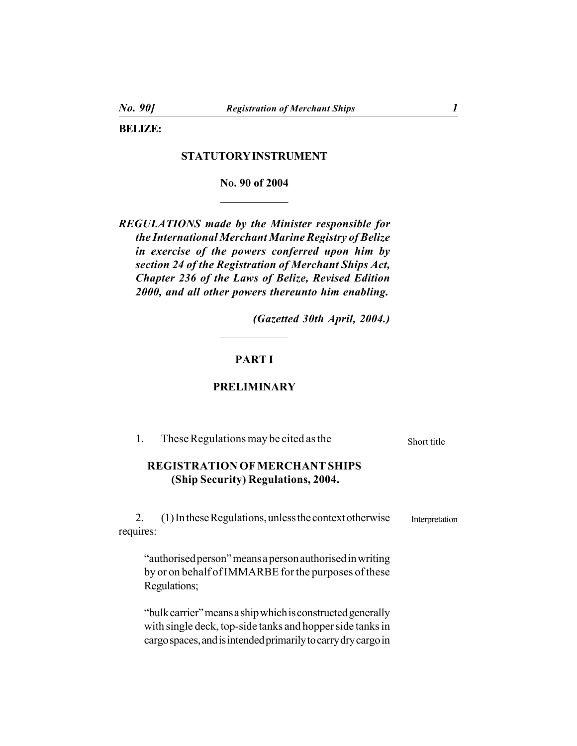**BELIZE:**

# **STATUTORY INSTRUMENT**

**No. 90 of 2004**  $\mathcal{L}_\text{max}$ 

*REGULATIONS made by the Minister responsible for the International Merchant Marine Registry of Belize in exercise of the powers conferred upon him by section 24 of the Registration of Merchant Ships Act, Chapter 236 of the Laws of Belize, Revised Edition 2000, and all other powers thereunto him enabling.*

*(Gazetted 30th April, 2004.)*

# **PART I**

 $\mathcal{L}_\text{max}$ 

#### **PRELIMINARY**

| These Regulations may be cited as the<br>1.                                                                                                                                              | Short title    |
|------------------------------------------------------------------------------------------------------------------------------------------------------------------------------------------|----------------|
| <b>REGISTRATION OF MERCHANT SHIPS</b><br>(Ship Security) Regulations, 2004.                                                                                                              |                |
| $(1)$ In these Regulations, unless the context otherwise<br>2.<br>requires:                                                                                                              | Interpretation |
| "authorised person" means a person authorised in writing<br>by or on behalf of IMMARBE for the purposes of these<br>Regulations;                                                         |                |
| "bulk carrier" means a ship which is constructed generally<br>with single deck, top-side tanks and hopper side tanks in<br>cargo spaces, and is intended primarily to carry dry cargo in |                |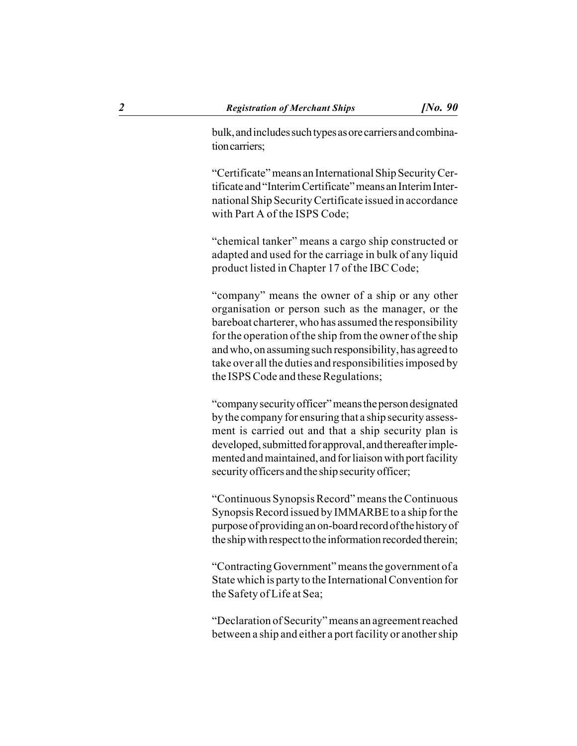bulk, and includes such types as ore carriers and combination carriers;

"Certificate" means an International Ship Security Certificate and "Interim Certificate" means an Interim International Ship Security Certificate issued in accordance with Part A of the ISPS Code;

"chemical tanker" means a cargo ship constructed or adapted and used for the carriage in bulk of any liquid product listed in Chapter 17 of the IBC Code;

"company" means the owner of a ship or any other organisation or person such as the manager, or the bareboat charterer, who has assumed the responsibility for the operation of the ship from the owner of the ship and who, on assuming such responsibility, has agreed to take over all the duties and responsibilities imposed by the ISPS Code and these Regulations;

"company security officer" means the person designated by the company for ensuring that a ship security assessment is carried out and that a ship security plan is developed, submitted for approval, and thereafter implemented and maintained, and for liaison with port facility security officers and the ship security officer;

"Continuous Synopsis Record" means the Continuous Synopsis Record issued by IMMARBE to a ship for the purpose of providing an on-board record of the history of the ship with respect to the information recorded therein;

"Contracting Government" means the government of a State which is party to the International Convention for the Safety of Life at Sea;

"Declaration of Security" means an agreement reached between a ship and either a port facility or another ship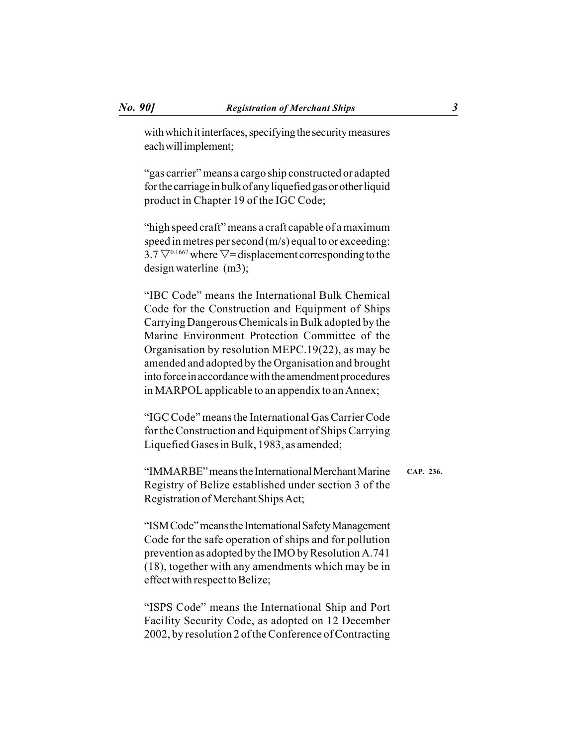with which it interfaces, specifying the security measures each will implement;

"gas carrier" means a cargo ship constructed or adapted for the carriage in bulk of any liquefied gas or other liquid product in Chapter 19 of the IGC Code;

"high speed craft" means a craft capable of a maximum speed in metres per second (m/s) equal to or exceeding: 3.7  $\nabla^{0.1667}$  where  $\nabla$ = displacement corresponding to the design waterline (m3);

"IBC Code" means the International Bulk Chemical Code for the Construction and Equipment of Ships Carrying Dangerous Chemicals in Bulk adopted by the Marine Environment Protection Committee of the Organisation by resolution MEPC.19(22), as may be amended and adopted by the Organisation and brought into force in accordance with the amendment procedures in MARPOL applicable to an appendix to an Annex;

"IGC Code" means the International Gas Carrier Code for the Construction and Equipment of Ships Carrying Liquefied Gases in Bulk, 1983, as amended;

"IMMARBE" means the International Merchant Marine Registry of Belize established under section 3 of the Registration of Merchant Ships Act; **CAP. 236.**

"ISM Code" means the International Safety Management Code for the safe operation of ships and for pollution prevention as adopted by the IMO by Resolution A.741 (18), together with any amendments which may be in effect with respect to Belize;

"ISPS Code" means the International Ship and Port Facility Security Code, as adopted on 12 December 2002, by resolution 2 of the Conference of Contracting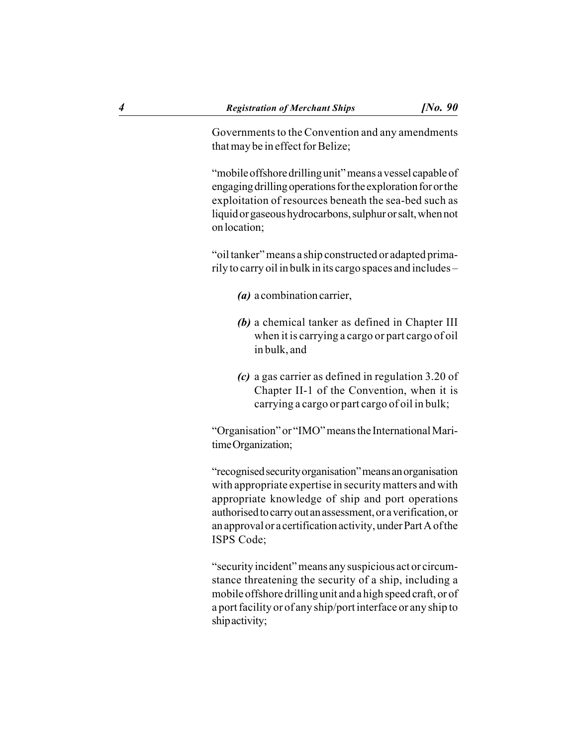Governments to the Convention and any amendments that may be in effect for Belize;

"mobile offshore drilling unit" means a vessel capable of engaging drilling operations for the exploration for or the exploitation of resources beneath the sea-bed such as liquid or gaseous hydrocarbons, sulphur or salt, when not on location;

"oil tanker" means a ship constructed or adapted primarily to carry oil in bulk in its cargo spaces and includes –

- *(a)* a combination carrier,
- *(b)* a chemical tanker as defined in Chapter III when it is carrying a cargo or part cargo of oil in bulk, and
- *(c)* a gas carrier as defined in regulation 3.20 of Chapter II-1 of the Convention, when it is carrying a cargo or part cargo of oil in bulk;

"Organisation" or "IMO" means the International Maritime Organization;

"recognised security organisation" means an organisation with appropriate expertise in security matters and with appropriate knowledge of ship and port operations authorised to carry out an assessment, or a verification, or an approval or a certification activity, under Part A of the ISPS Code;

"security incident" means any suspicious act or circumstance threatening the security of a ship, including a mobile offshore drilling unit and a high speed craft, or of a port facility or of any ship/port interface or any ship to ship activity;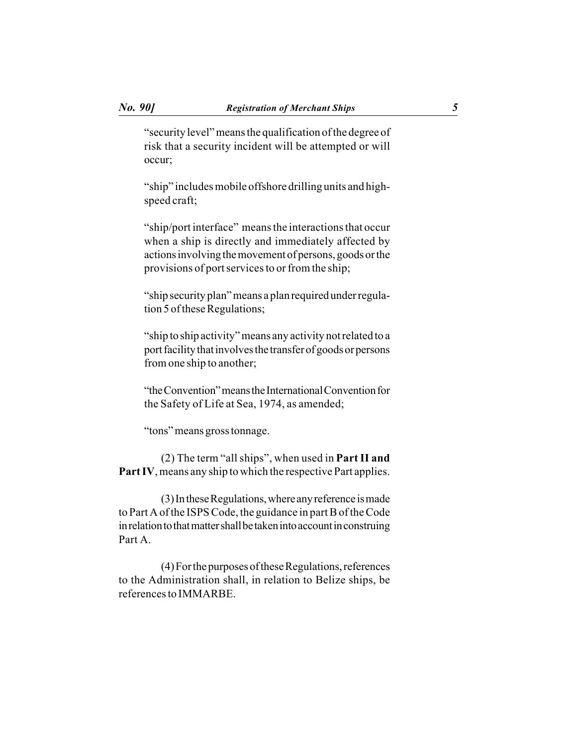"security level" means the qualification of the degree of risk that a security incident will be attempted or will occur;

"ship" includes mobile offshore drilling units and highspeed craft;

"ship/port interface" means the interactions that occur when a ship is directly and immediately affected by actions involving the movement of persons, goods or the provisions of port services to or from the ship;

"ship security plan" means a plan required under regulation 5 of these Regulations;

"ship to ship activity" means any activity not related to a port facility that involves the transfer of goods or persons from one ship to another;

"the Convention" means the International Convention for the Safety of Life at Sea, 1974, as amended;

"tons" means gross tonnage.

(2) The term "all ships", when used in **Part II and Part IV**, means any ship to which the respective Part applies.

(3) In these Regulations, where any reference is made to Part A of the ISPS Code, the guidance in part B of the Code in relation to that matter shall be taken into account in construing Part A.

(4) For the purposes of these Regulations, references to the Administration shall, in relation to Belize ships, be references to IMMARBE.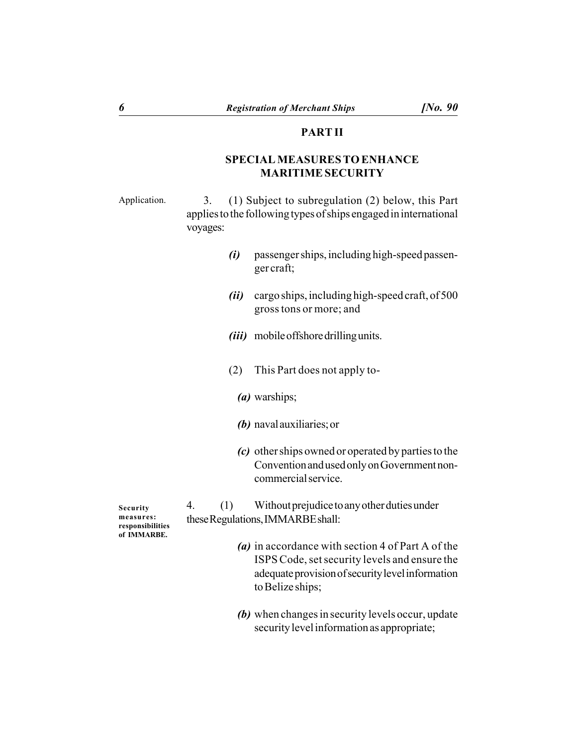#### **PART II**

# **SPECIAL MEASURES TO ENHANCE MARITIME SECURITY**

Application.

3. (1) Subject to subregulation (2) below, this Part applies to the following types of ships engaged in international voyages:

- *(i)* passenger ships, including high-speed passenger craft;
- *(ii)* cargo ships, including high-speed craft, of 500 gross tons or more; and
- *(iii)* mobile offshore drilling units.
- (2) This Part does not apply to-
	- *(a)* warships;
	- *(b)* naval auxiliaries; or
	- *(c)* other ships owned or operated by parties to the Convention and used only on Government noncommercial service.

**Security measures: responsibilities of IMMARBE.**

4. (1) Without prejudice to any other duties under these Regulations, IMMARBE shall:

- *(a)* in accordance with section 4 of Part A of the ISPS Code, set security levels and ensure the adequate provision of security level information to Belize ships;
- *(b)* when changes in security levels occur, update security level information as appropriate;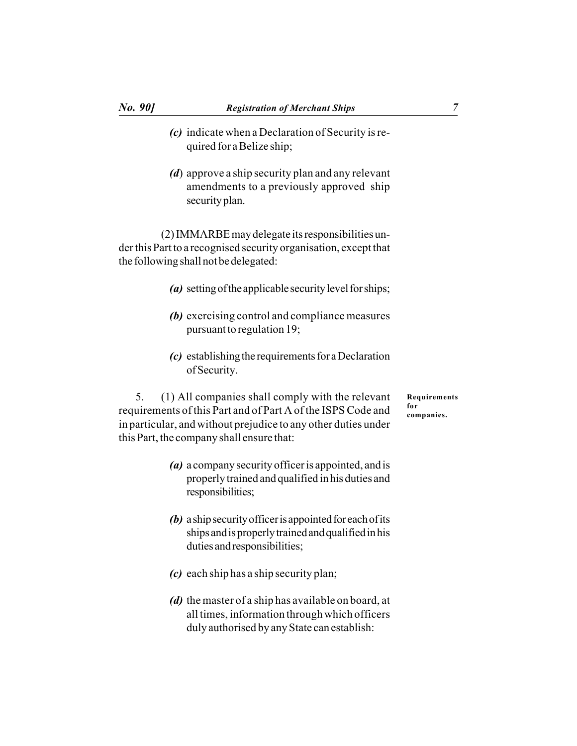- *(c)* indicate when a Declaration of Security is required for a Belize ship;
- *(d*) approve a ship security plan and any relevant amendments to a previously approved ship security plan.

(2) IMMARBE may delegate its responsibilities under this Part to a recognised security organisation, except that the following shall not be delegated:

- *(a)* setting of the applicable security level for ships;
- *(b)* exercising control and compliance measures pursuant to regulation 19;
- *(c)* establishing the requirements for a Declaration of Security.

5. (1) All companies shall comply with the relevant requirements of this Part and of Part A of the ISPS Code and in particular, and without prejudice to any other duties under this Part, the company shall ensure that:

- *(a)* a company security officer is appointed, and is properly trained and qualified in his duties and responsibilities;
- *(b)* a ship security officer is appointed for each of its ships and is properly trained and qualified in his duties and responsibilities;
- *(c)* each ship has a ship security plan;
- *(d)* the master of a ship has available on board, at all times, information through which officers duly authorised by any State can establish:

**Requirements for companies.**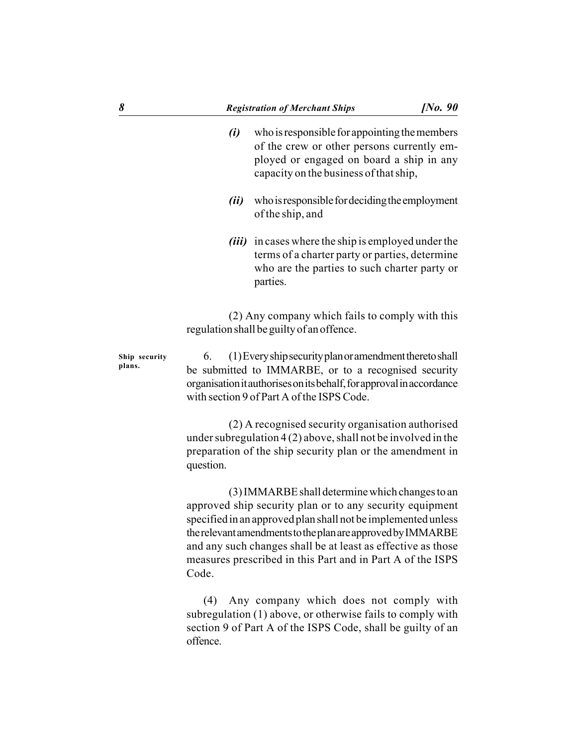- *(i)* who is responsible for appointing the members of the crew or other persons currently employed or engaged on board a ship in any capacity on the business of that ship,
- *(ii)* who is responsible for deciding the employment of the ship, and
- *(iii)* in cases where the ship is employed under the terms of a charter party or parties, determine who are the parties to such charter party or parties.

(2) Any company which fails to comply with this regulation shall be guilty of an offence.

6. (1) Every ship security plan or amendment thereto shall be submitted to IMMARBE, or to a recognised security organisation it authorises on its behalf, for approval in accordance with section 9 of Part A of the ISPS Code. **Ship security plans.**

> (2) A recognised security organisation authorised under subregulation 4 (2) above, shall not be involved in the preparation of the ship security plan or the amendment in question.

> (3) IMMARBE shall determine which changes to an approved ship security plan or to any security equipment specified in an approved plan shall not be implemented unless the relevant amendments to the plan are approved by IMMARBE and any such changes shall be at least as effective as those measures prescribed in this Part and in Part A of the ISPS Code.

> (4) Any company which does not comply with subregulation (1) above, or otherwise fails to comply with section 9 of Part A of the ISPS Code, shall be guilty of an offence.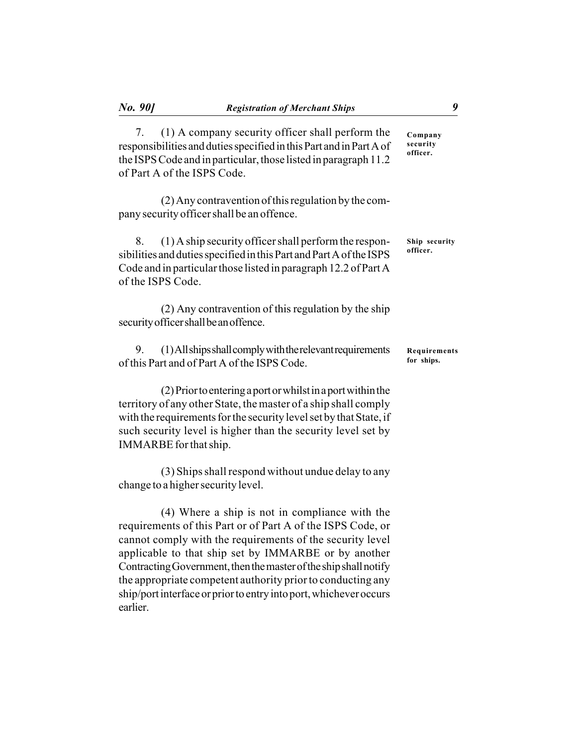7. (1) A company security officer shall perform the responsibilities and duties specified in this Part and in Part A of the ISPS Code and in particular, those listed in paragraph 11.2 of Part A of the ISPS Code. **Company security officer.**

(2) Any contravention of this regulation by the company security officer shall be an offence.

| 8. (1) A ship security officer shall perform the respon-                             | Ship security |
|--------------------------------------------------------------------------------------|---------------|
| sibilities and duties specified in this Part and Part A of the ISPS                  | officer.      |
| Code and in particular those listed in paragraph 12.2 of Part A<br>of the ISPS Code. |               |

(2) Any contravention of this regulation by the ship security officer shall be an offence.

9. (1) All ships shall comply with the relevant requirements of this Part and of Part A of the ISPS Code. **Requirements for ships.**

(2) Prior to entering a port or whilst in a port within the territory of any other State, the master of a ship shall comply with the requirements for the security level set by that State, if such security level is higher than the security level set by IMMARBE for that ship.

(3) Ships shall respond without undue delay to any change to a higher security level.

(4) Where a ship is not in compliance with the requirements of this Part or of Part A of the ISPS Code, or cannot comply with the requirements of the security level applicable to that ship set by IMMARBE or by another Contracting Government, then the master of the ship shall notify the appropriate competent authority prior to conducting any ship/port interface or prior to entry into port, whichever occurs earlier.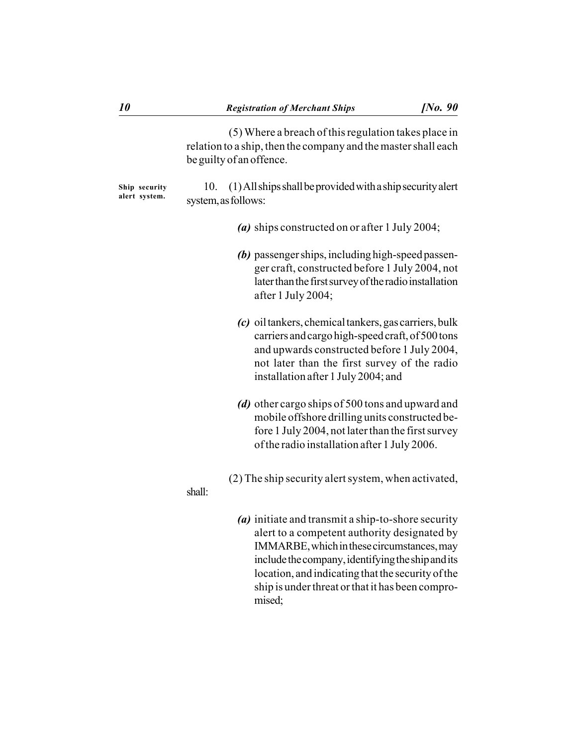(5) Where a breach of this regulation takes place in relation to a ship, then the company and the master shall each be guilty of an offence.

10. (1) All ships shall be provided with a ship security alert system, as follows: **Ship security alert system.**

- *(a)* ships constructed on or after 1 July 2004;
- *(b)* passenger ships, including high-speed passenger craft, constructed before 1 July 2004, not later than the first survey of the radio installation after 1 July 2004;
- *(c)* oil tankers, chemical tankers, gas carriers, bulk carriers and cargo high-speed craft, of 500 tons and upwards constructed before 1 July 2004, not later than the first survey of the radio installation after 1 July 2004; and
- *(d)* other cargo ships of 500 tons and upward and mobile offshore drilling units constructed before 1 July 2004, not later than the first survey of the radio installation after 1 July 2006.
- (2) The ship security alert system, when activated,

#### shall:

*(a)* initiate and transmit a ship-to-shore security alert to a competent authority designated by IMMARBE, which in these circumstances, may include the company, identifying the ship and its location, and indicating that the security of the ship is under threat or that it has been compromised;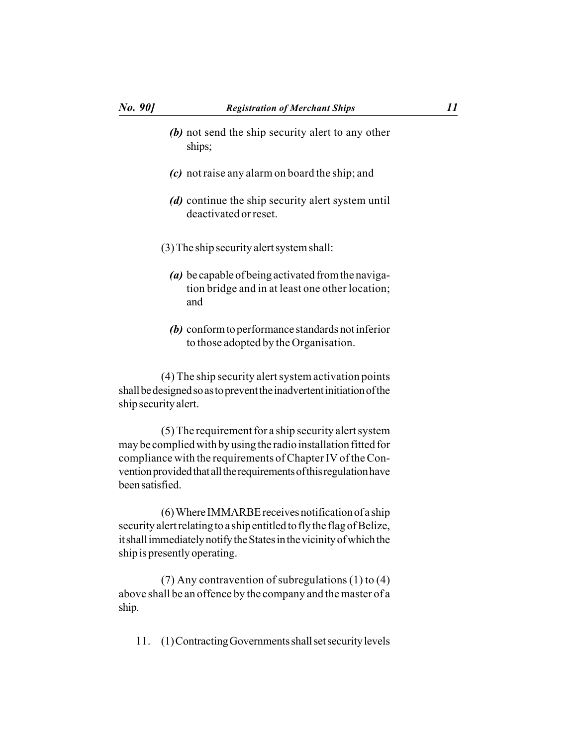- *(b)* not send the ship security alert to any other ships;
- *(c)* not raise any alarm on board the ship; and
- *(d)* continue the ship security alert system until deactivated or reset.
- (3) The ship security alert system shall:
	- *(a)* be capable of being activated from the navigation bridge and in at least one other location; and
	- *(b)* conform to performance standards not inferior to those adopted by the Organisation.

(4) The ship security alert system activation points shall be designed so as to prevent the inadvertent initiation of the ship security alert.

(5) The requirement for a ship security alert system may be complied with by using the radio installation fitted for compliance with the requirements of Chapter IV of the Convention provided that all the requirements of this regulation have been satisfied.

(6) Where IMMARBE receives notification of a ship security alert relating to a ship entitled to fly the flag of Belize, it shall immediately notify the States in the vicinity of which the ship is presently operating.

(7) Any contravention of subregulations (1) to (4) above shall be an offence by the company and the master of a ship.

11. (1) Contracting Governments shall set security levels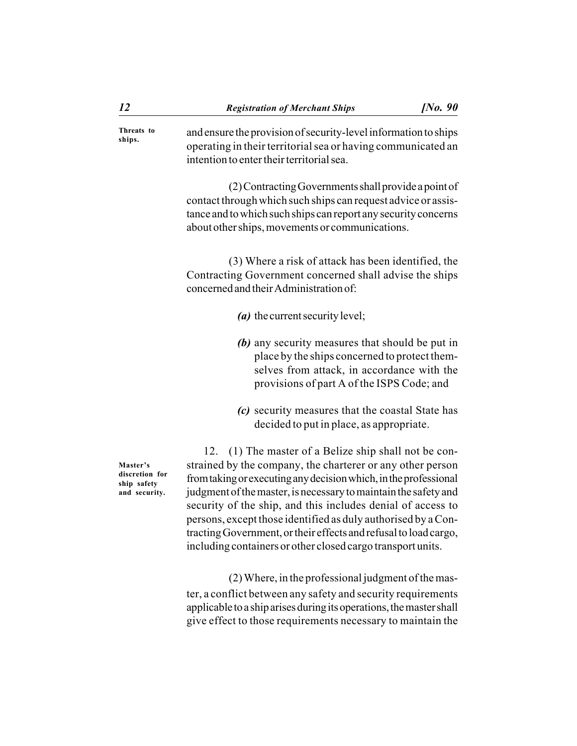and ensure the provision of security-level information to ships operating in their territorial sea or having communicated an intention to enter their territorial sea. **Threats to ships.**

> (2) Contracting Governments shall provide a point of contact through which such ships can request advice or assistance and to which such ships can report any security concerns about other ships, movements or communications.

> (3) Where a risk of attack has been identified, the Contracting Government concerned shall advise the ships concerned and their Administration of:

- *(a)* the current security level;
- *(b)* any security measures that should be put in place by the ships concerned to protect themselves from attack, in accordance with the provisions of part A of the ISPS Code; and
- *(c)* security measures that the coastal State has decided to put in place, as appropriate.

**Master's discretion for ship safety and security.**

12. (1) The master of a Belize ship shall not be constrained by the company, the charterer or any other person from taking or executing any decision which, in the professional judgment of the master, is necessary to maintain the safety and security of the ship, and this includes denial of access to persons, except those identified as duly authorised by a Contracting Government, or their effects and refusal to load cargo, including containers or other closed cargo transport units.

(2) Where, in the professional judgment of the master, a conflict between any safety and security requirements applicable to a ship arises during its operations, the master shall give effect to those requirements necessary to maintain the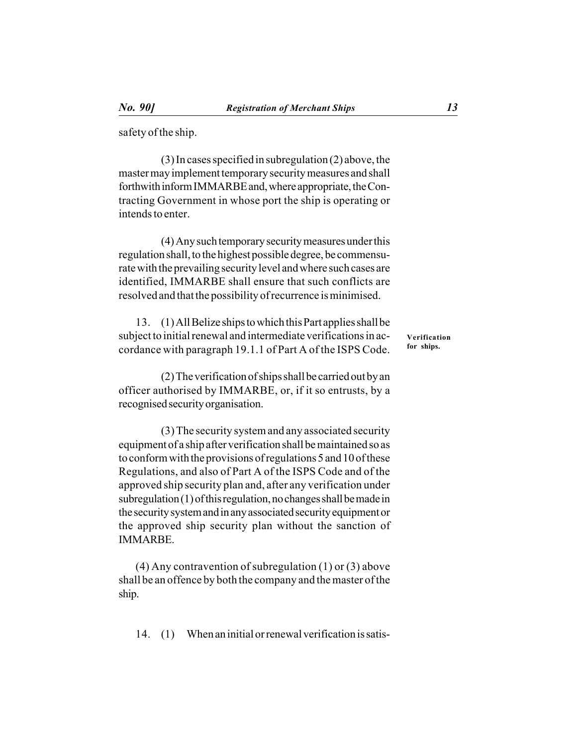safety of the ship.

(3) In cases specified in subregulation (2) above, the master may implement temporary security measures and shall forthwith inform IMMARBE and, where appropriate, the Contracting Government in whose port the ship is operating or intends to enter.

(4) Any such temporary security measures under this regulation shall, to the highest possible degree, be commensurate with the prevailing security level and where such cases are identified, IMMARBE shall ensure that such conflicts are resolved and that the possibility of recurrence is minimised.

13. (1) All Belize ships to which this Part applies shall be subject to initial renewal and intermediate verifications in accordance with paragraph 19.1.1 of Part A of the ISPS Code.

(2) The verification of ships shall be carried out by an officer authorised by IMMARBE, or, if it so entrusts, by a recognised security organisation.

(3) The security system and any associated security equipment of a ship after verification shall be maintained so as to conform with the provisions of regulations 5 and 10 of these Regulations, and also of Part A of the ISPS Code and of the approved ship security plan and, after any verification under subregulation (1) of this regulation, no changes shall be made in the security system and in any associated security equipment or the approved ship security plan without the sanction of IMMARBE.

(4) Any contravention of subregulation (1) or (3) above shall be an offence by both the company and the master of the ship.

14. (1) When an initial or renewal verification is satis-

**Verification for ships.**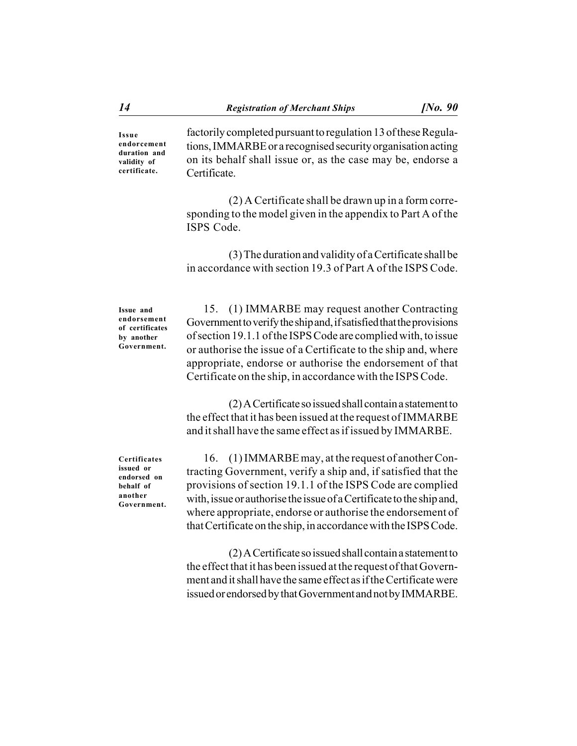**Issue endorcement duration and validity of certificate.**

factorily completed pursuant to regulation 13 of these Regulations, IMMARBE or a recognised security organisation acting on its behalf shall issue or, as the case may be, endorse a Certificate.

(2) A Certificate shall be drawn up in a form corresponding to the model given in the appendix to Part A of the ISPS Code.

(3) The duration and validity of a Certificate shall be in accordance with section 19.3 of Part A of the ISPS Code.

**Issue and endorsement of certificates by another Government.**

15. (1) IMMARBE may request another Contracting Government to verify the ship and, if satisfied that the provisions of section 19.1.1 of the ISPS Code are complied with, to issue or authorise the issue of a Certificate to the ship and, where appropriate, endorse or authorise the endorsement of that Certificate on the ship, in accordance with the ISPS Code.

(2) A Certificate so issued shall contain a statement to the effect that it has been issued at the request of IMMARBE and it shall have the same effect as if issued by IMMARBE.

**Certificates issued or endorsed on behalf of another Government.**

16. (1) IMMARBE may, at the request of another Contracting Government, verify a ship and, if satisfied that the provisions of section 19.1.1 of the ISPS Code are complied with, issue or authorise the issue of a Certificate to the ship and, where appropriate, endorse or authorise the endorsement of that Certificate on the ship, in accordance with the ISPS Code.

(2) A Certificate so issued shall contain a statement to the effect that it has been issued at the request of that Government and it shall have the same effect as if the Certificate were issued or endorsed by that Government and not by IMMARBE.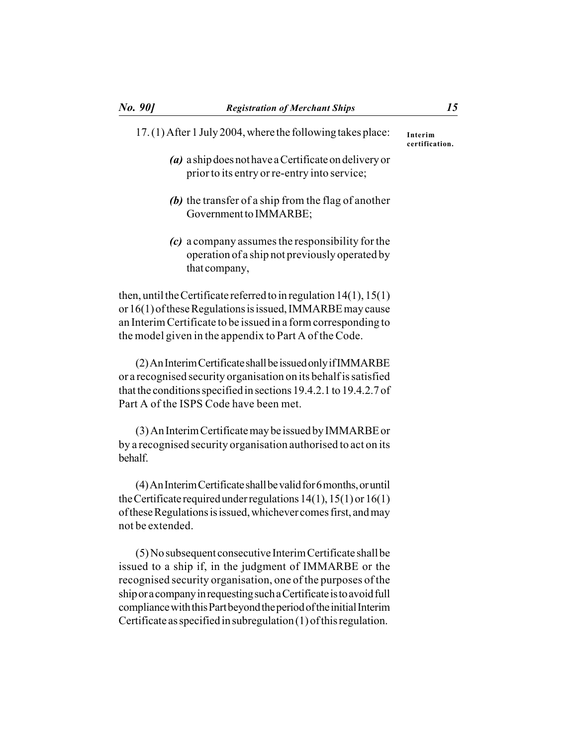# 17. (1) After 1 July 2004, where the following takes place: *(a)* a ship does not have a Certificate on delivery or prior to its entry or re-entry into service;

- *(b)* the transfer of a ship from the flag of another Government to IMMARBE;
- *(c)* a company assumes the responsibility for the operation of a ship not previously operated by that company,

then, until the Certificate referred to in regulation 14(1), 15(1) or 16(1) of these Regulations is issued, IMMARBE may cause an Interim Certificate to be issued in a form corresponding to the model given in the appendix to Part A of the Code.

(2) An Interim Certificate shall be issued only if IMMARBE or a recognised security organisation on its behalf is satisfied that the conditions specified in sections 19.4.2.1 to 19.4.2.7 of Part A of the ISPS Code have been met.

(3) An Interim Certificate may be issued by IMMARBE or by a recognised security organisation authorised to act on its behalf.

(4) An Interim Certificate shall be valid for 6 months, or until the Certificate required under regulations  $14(1)$ ,  $15(1)$  or  $16(1)$ of these Regulations is issued, whichever comes first, and may not be extended.

(5) No subsequent consecutive Interim Certificate shall be issued to a ship if, in the judgment of IMMARBE or the recognised security organisation, one of the purposes of the ship or a company in requesting such a Certificate is to avoid full compliance with this Part beyond the period of the initial Interim Certificate as specified in subregulation (1) of this regulation.

**Interim certification.**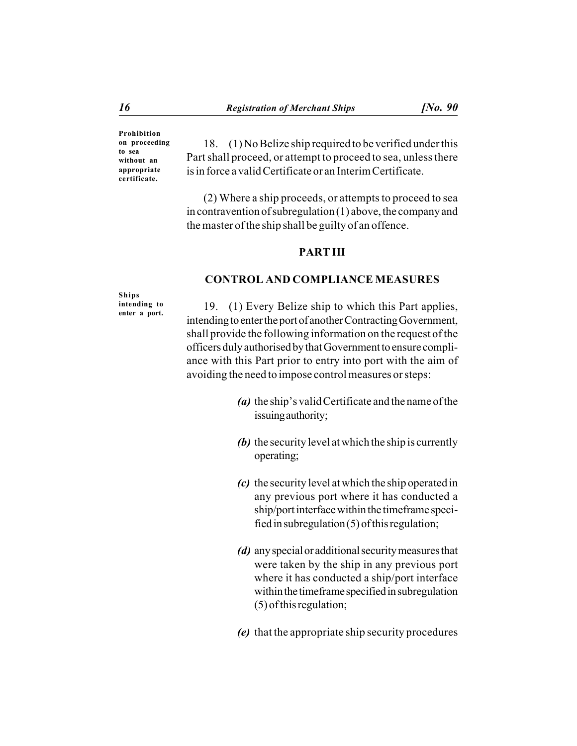**Prohibition on proceeding to sea without an appropriate certificate.**

18. (1) No Belize ship required to be verified under this Part shall proceed, or attempt to proceed to sea, unless there is in force a valid Certificate or an Interim Certificate.

(2) Where a ship proceeds, or attempts to proceed to sea in contravention of subregulation (1) above, the company and the master of the ship shall be guilty of an offence.

#### **PART III**

# **CONTROL AND COMPLIANCE MEASURES**

**Ships intending to enter a port.**

19. (1) Every Belize ship to which this Part applies, intending to enter the port of another Contracting Government, shall provide the following information on the request of the officers duly authorised by that Government to ensure compliance with this Part prior to entry into port with the aim of avoiding the need to impose control measures or steps:

- *(a)* the ship's valid Certificate and the name of the issuing authority;
- *(b)* the security level at which the ship is currently operating;
- *(c)* the security level at which the ship operated in any previous port where it has conducted a ship/port interface within the timeframe specified in subregulation (5) of this regulation;
- *(d)* any special or additional security measures that were taken by the ship in any previous port where it has conducted a ship/port interface within the timeframe specified in subregulation (5) of this regulation;
- *(e)* that the appropriate ship security procedures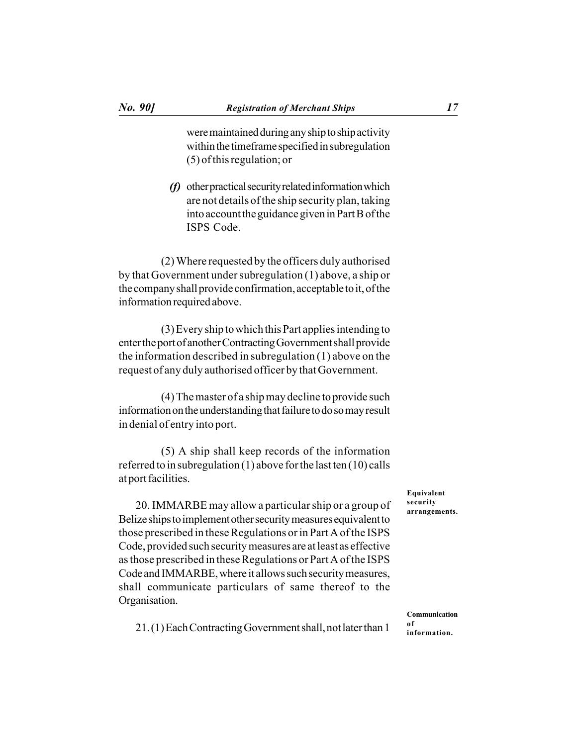were maintained during any ship to ship activity within the timeframe specified in subregulation (5) of this regulation; or

*(f)* other practical security related information which are not details of the ship security plan, taking into account the guidance given in Part B of the ISPS Code.

(2) Where requested by the officers duly authorised by that Government under subregulation (1) above, a ship or the company shall provide confirmation, acceptable to it, of the information required above.

(3) Every ship to which this Part applies intending to enter the port of another Contracting Government shall provide the information described in subregulation (1) above on the request of any duly authorised officer by that Government.

(4) The master of a ship may decline to provide such information on the understanding that failure to do so may result in denial of entry into port.

(5) A ship shall keep records of the information referred to in subregulation (1) above for the last ten (10) calls at port facilities.

20. IMMARBE may allow a particular ship or a group of Belize ships to implement other security measures equivalent to those prescribed in these Regulations or in Part A of the ISPS Code, provided such security measures are at least as effective as those prescribed in these Regulations or Part A of the ISPS Code and IMMARBE, where it allows such security measures, shall communicate particulars of same thereof to the Organisation.

**Equivalent security arrangements.**

21. (1) Each Contracting Government shall, not later than 1

**Communication of information.**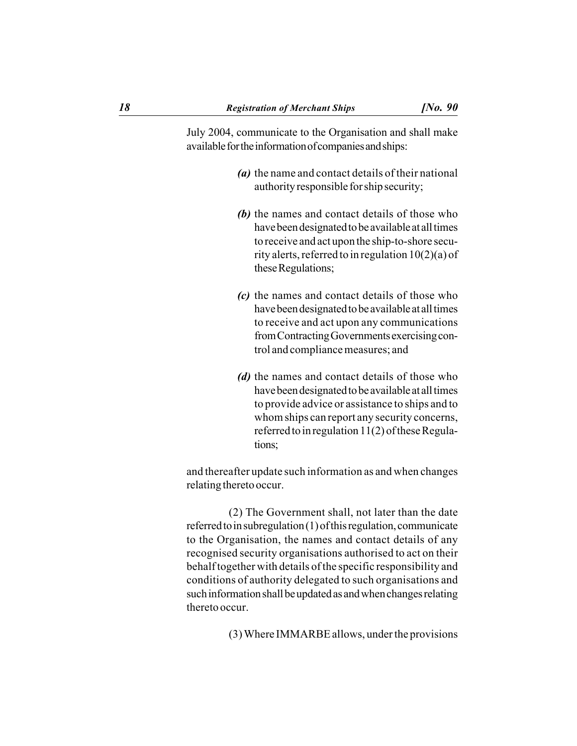July 2004, communicate to the Organisation and shall make available for the information of companies and ships:

- *(a)* the name and contact details of their national authority responsible for ship security;
- *(b)* the names and contact details of those who have been designated to be available at all times to receive and act upon the ship-to-shore security alerts, referred to in regulation 10(2)(a) of these Regulations;
- *(c)* the names and contact details of those who have been designated to be available at all times to receive and act upon any communications from Contracting Governments exercising control and compliance measures; and
- *(d)* the names and contact details of those who have been designated to be available at all times to provide advice or assistance to ships and to whom ships can report any security concerns, referred to in regulation 11(2) of these Regulations;

and thereafter update such information as and when changes relating thereto occur.

(2) The Government shall, not later than the date referred to in subregulation (1) of this regulation, communicate to the Organisation, the names and contact details of any recognised security organisations authorised to act on their behalf together with details of the specific responsibility and conditions of authority delegated to such organisations and such information shall be updated as and when changes relating thereto occur.

(3) Where IMMARBE allows, under the provisions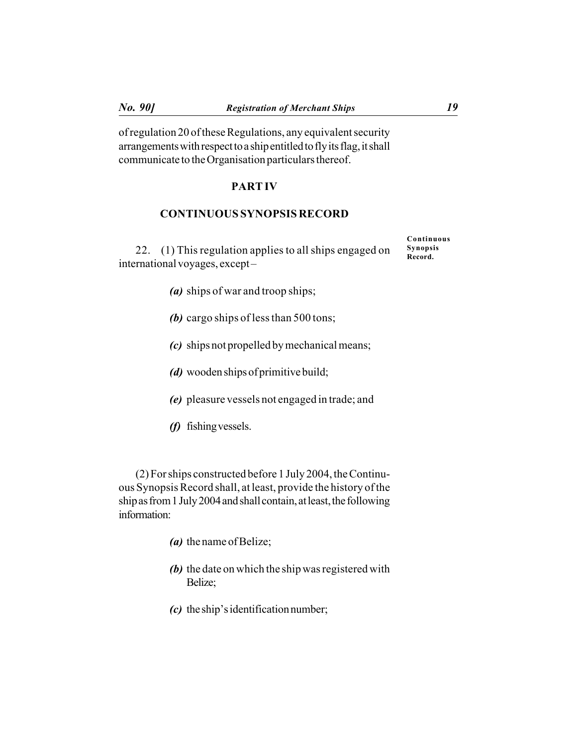of regulation 20 of these Regulations, any equivalent security arrangements with respect to a ship entitled to fly its flag, it shall communicate to the Organisation particulars thereof.

#### **PART IV**

### **CONTINUOUS SYNOPSIS RECORD**

22. (1) This regulation applies to all ships engaged on international voyages, except –

- *(a)* ships of war and troop ships;
- *(b)* cargo ships of less than 500 tons;
- *(c)* ships not propelled by mechanical means;
- *(d)* wooden ships of primitive build;
- *(e)* pleasure vessels not engaged in trade; and
- *(f)* fishing vessels.

(2) For ships constructed before 1 July 2004, the Continuous Synopsis Record shall, at least, provide the history of the ship as from 1 July 2004 and shall contain, at least, the following information:

- *(a)* the name of Belize;
- *(b)* the date on which the ship was registered with Belize;
- *(c)* the ship's identification number;

**Continuous Synopsis Record.**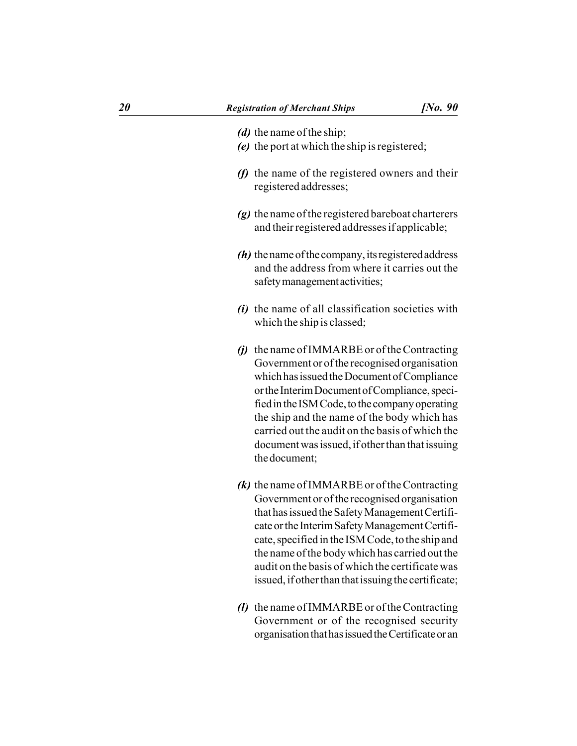- *(d)* the name of the ship;
- *(e)* the port at which the ship is registered;
- *(f)* the name of the registered owners and their registered addresses;
- *(g)* the name of the registered bareboat charterers and their registered addresses if applicable;
- *(h)* the name of the company, its registered address and the address from where it carries out the safety management activities;
- *(i)* the name of all classification societies with which the ship is classed;
- *(j)* the name of IMMARBE or of the Contracting Government or of the recognised organisation which has issued the Document of Compliance or the Interim Document of Compliance, specified in the ISM Code, to the company operating the ship and the name of the body which has carried out the audit on the basis of which the document was issued, if other than that issuing the document;
- *(k)* the name of IMMARBE or of the Contracting Government or of the recognised organisation that has issued the Safety Management Certificate or the Interim Safety Management Certificate, specified in the ISM Code, to the ship and the name of the body which has carried out the audit on the basis of which the certificate was issued, if other than that issuing the certificate;
- *(l)* the name of IMMARBE or of the Contracting Government or of the recognised security organisation that has issued the Certificate or an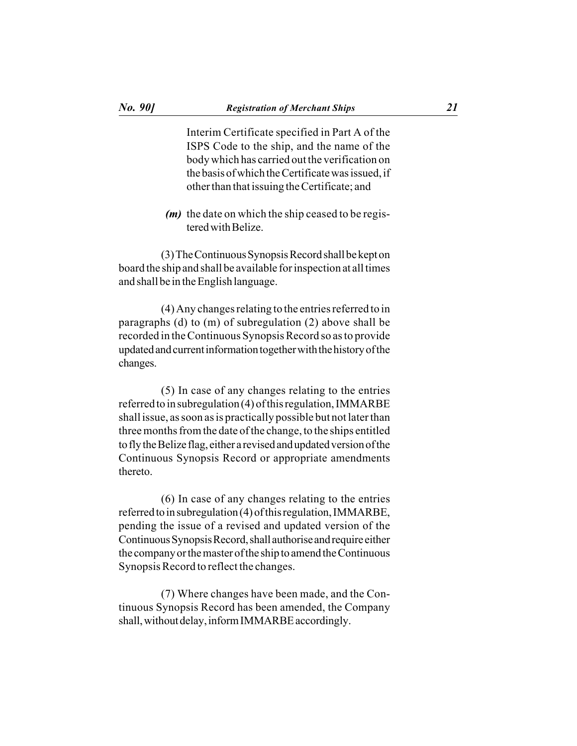Interim Certificate specified in Part A of the ISPS Code to the ship, and the name of the body which has carried out the verification on the basis of which the Certificate was issued, if other than that issuing the Certificate; and

*(m)* the date on which the ship ceased to be registered with Belize.

(3) The Continuous Synopsis Record shall be kept on board the ship and shall be available for inspection at all times and shall be in the English language.

(4) Any changes relating to the entries referred to in paragraphs (d) to (m) of subregulation (2) above shall be recorded in the Continuous Synopsis Record so as to provide updated and current information together with the history of the changes.

(5) In case of any changes relating to the entries referred to in subregulation (4) of this regulation, IMMARBE shall issue, as soon as is practically possible but not later than three months from the date of the change, to the ships entitled to fly the Belize flag, either a revised and updated version of the Continuous Synopsis Record or appropriate amendments thereto.

(6) In case of any changes relating to the entries referred to in subregulation (4) of this regulation, IMMARBE, pending the issue of a revised and updated version of the Continuous Synopsis Record, shall authorise and require either the company or the master of the ship to amend the Continuous Synopsis Record to reflect the changes.

(7) Where changes have been made, and the Continuous Synopsis Record has been amended, the Company shall, without delay, inform IMMARBE accordingly.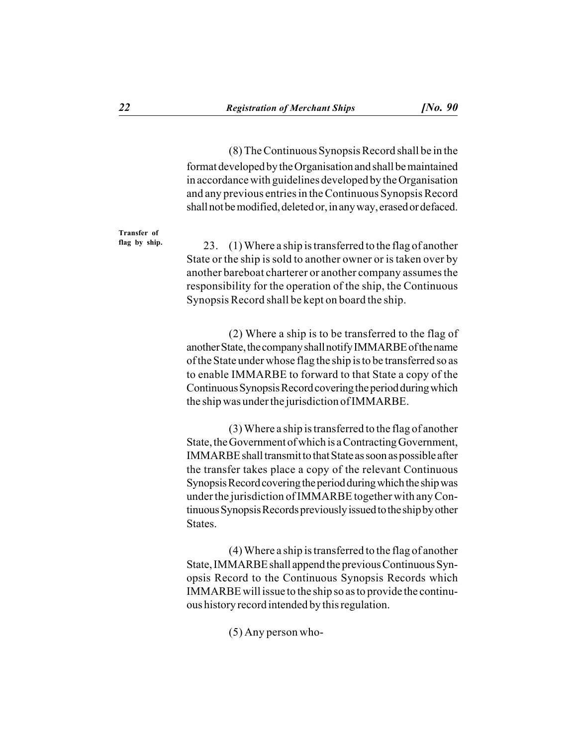(8) The Continuous Synopsis Record shall be in the format developed by the Organisation and shall be maintained in accordance with guidelines developed by the Organisation and any previous entries in the Continuous Synopsis Record shall not be modified, deleted or, in any way, erased or defaced.

**Transfer of flag by ship.**

23. (1) Where a ship is transferred to the flag of another State or the ship is sold to another owner or is taken over by another bareboat charterer or another company assumes the responsibility for the operation of the ship, the Continuous Synopsis Record shall be kept on board the ship.

(2) Where a ship is to be transferred to the flag of another State, the company shall notify IMMARBE of the name of the State under whose flag the ship is to be transferred so as to enable IMMARBE to forward to that State a copy of the Continuous Synopsis Record covering the period during which the ship was under the jurisdiction of IMMARBE.

(3) Where a ship is transferred to the flag of another State, the Government of which is a Contracting Government, IMMARBE shall transmit to that State as soon as possible after the transfer takes place a copy of the relevant Continuous Synopsis Record covering the period during which the ship was under the jurisdiction of IMMARBE together with any Continuous Synopsis Records previously issued to the ship by other States.

(4) Where a ship is transferred to the flag of another State, IMMARBE shall append the previous Continuous Synopsis Record to the Continuous Synopsis Records which IMMARBE will issue to the ship so as to provide the continuous history record intended by this regulation.

(5) Any person who-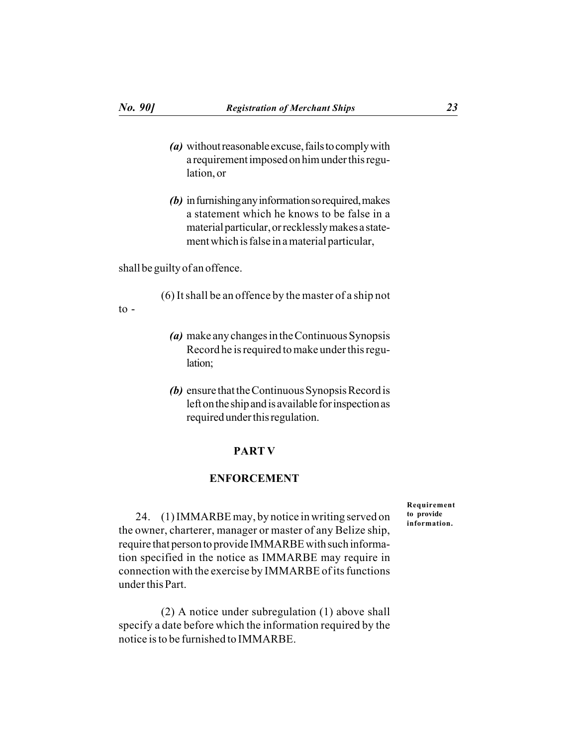- *(a)* without reasonable excuse, fails to comply with a requirement imposed on him under this regulation, or
- *(b)* in furnishing any information so required, makes a statement which he knows to be false in a material particular, or recklessly makes a statement which is false in a material particular,

shall be guilty of an offence.

(6) It shall be an offence by the master of a ship not

 $\overline{10}$  -

- *(a)* make any changes in the Continuous Synopsis Record he is required to make under this regulation;
- *(b)* ensure that the Continuous Synopsis Record is left on the ship and is available for inspection as required under this regulation.

### **PART V**

#### **ENFORCEMENT**

**Requirement to provide information.**

24. (1) IMMARBE may, by notice in writing served on the owner, charterer, manager or master of any Belize ship, require that person to provide IMMARBE with such information specified in the notice as IMMARBE may require in connection with the exercise by IMMARBE of its functions under this Part.

(2) A notice under subregulation (1) above shall specify a date before which the information required by the notice is to be furnished to IMMARBE.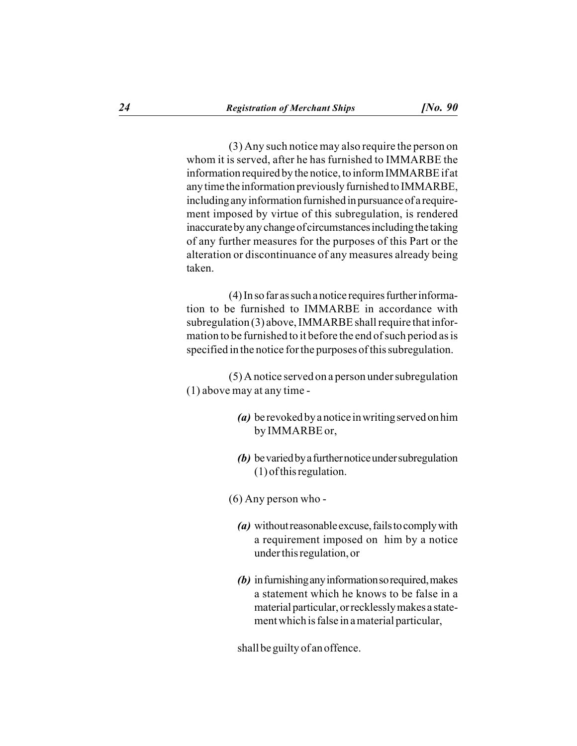(3) Any such notice may also require the person on whom it is served, after he has furnished to IMMARBE the information required by the notice, to inform IMMARBE if at any time the information previously furnished to IMMARBE, including any information furnished in pursuance of a requirement imposed by virtue of this subregulation, is rendered inaccurate by any change of circumstances including the taking of any further measures for the purposes of this Part or the alteration or discontinuance of any measures already being taken.

(4) In so far as such a notice requires further information to be furnished to IMMARBE in accordance with subregulation (3) above, IMMARBE shall require that information to be furnished to it before the end of such period as is specified in the notice for the purposes of this subregulation.

(5) A notice served on a person under subregulation (1) above may at any time -

- *(a)* be revoked by a notice in writing served on him by IMMARBE or,
- *(b)* be varied by a further notice under subregulation (1) of this regulation.

(6) Any person who -

- *(a)* without reasonable excuse, fails to comply with a requirement imposed on him by a notice under this regulation, or
- *(b)* in furnishing any information so required, makes a statement which he knows to be false in a material particular, or recklessly makes a statement which is false in a material particular,

shall be guilty of an offence.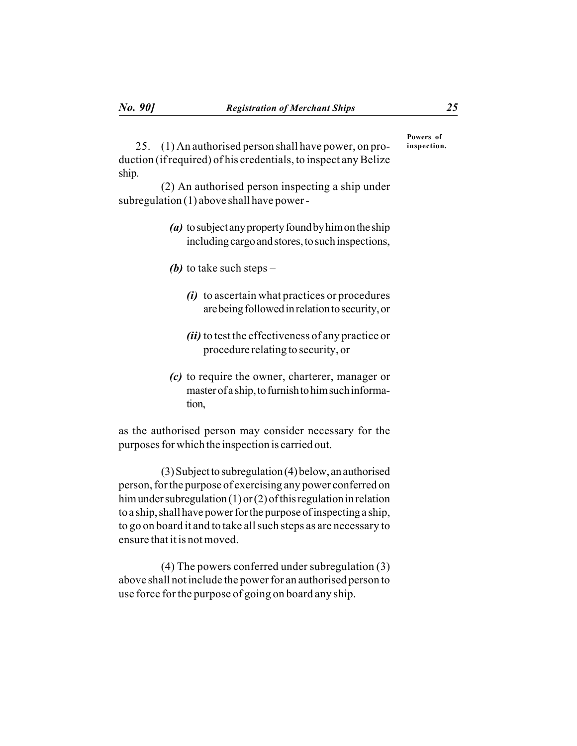25. (1) An authorised person shall have power, on production (if required) of his credentials, to inspect any Belize ship.

(2) An authorised person inspecting a ship under subregulation (1) above shall have power -

- *(a)* to subject any property found by him on the ship including cargo and stores, to such inspections,
- *(b)* to take such steps
	- *(i)* to ascertain what practices or procedures are being followed in relation to security, or
	- *(ii)* to test the effectiveness of any practice or procedure relating to security, or
- *(c)* to require the owner, charterer, manager or master of a ship, to furnish to him such information,

as the authorised person may consider necessary for the purposes for which the inspection is carried out.

(3) Subject to subregulation (4) below, an authorised person, for the purpose of exercising any power conferred on him under subregulation (1) or (2) of this regulation in relation to a ship, shall have power for the purpose of inspecting a ship, to go on board it and to take all such steps as are necessary to ensure that it is not moved.

(4) The powers conferred under subregulation (3) above shall not include the power for an authorised person to use force for the purpose of going on board any ship.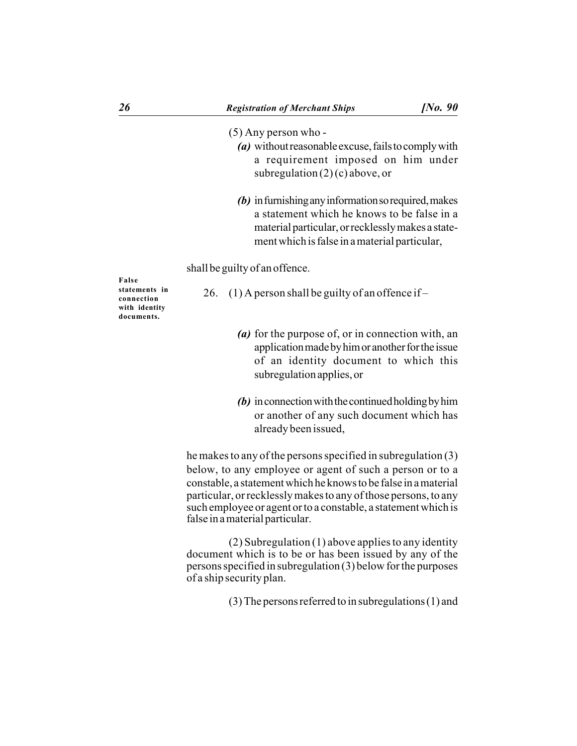#### (5) Any person who -

- *(a)* without reasonable excuse, fails to comply with a requirement imposed on him under subregulation  $(2)$  (c) above, or
- *(b)* in furnishing any information so required, makes a statement which he knows to be false in a material particular, or recklessly makes a statement which is false in a material particular,

shall be guilty of an offence.

**False statements in connection with identity documents.**

- 26. (1) A person shall be guilty of an offence if
	- *(a)* for the purpose of, or in connection with, an application made by him or another for the issue of an identity document to which this subregulation applies, or
	- *(b)* in connection with the continued holding by him or another of any such document which has already been issued,

he makes to any of the persons specified in subregulation (3) below, to any employee or agent of such a person or to a constable, a statement which he knows to be false in a material particular, or recklessly makes to any of those persons, to any such employee or agent or to a constable, a statement which is false in a material particular.

(2) Subregulation (1) above applies to any identity document which is to be or has been issued by any of the persons specified in subregulation (3) below for the purposes of a ship security plan.

(3) The persons referred to in subregulations (1) and